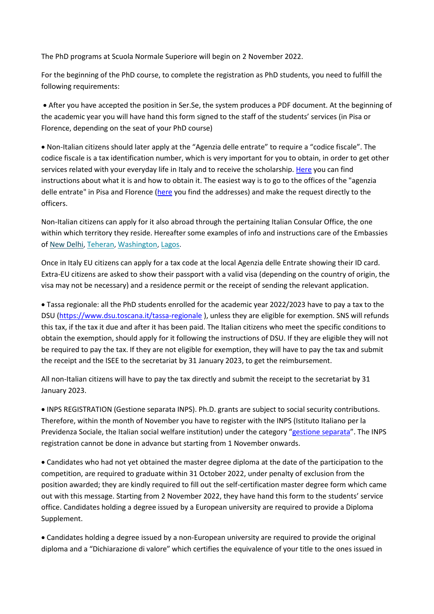The PhD programs at Scuola Normale Superiore will begin on 2 November 2022.

For the beginning of the PhD course, to complete the registration as PhD students, you need to fulfill the following requirements:

 After you have accepted the position in Ser.Se, the system produces a PDF document. At the beginning of the academic year you will have hand this form signed to the staff of the students' services (in Pisa or Florence, depending on the seat of your PhD course)

 Non-Italian citizens should later apply at the "Agenzia delle entrate" to require a "codice fiscale". The codice fiscale is a tax identification number, which is very important for you to obtain, in order to get other services related with your everyday life in Italy and to receive the scholarship. [Here](https://www.agenziaentrate.gov.it/portale/web/english/nse/Individuals/Tax+identification+number+for+foreign+citizens/) you can find instructions about what it is and how to obtain it. The easiest way is to go to the offices of the "agenzia delle entrate" in Pisa and Florence [\(here](https://www1.agenziaentrate.gov.it/indirizzi/agenzia/uffici_locali/lista.htm?m=2&pr=PI) you find the addresses) and make the request directly to the officers.

Non-Italian citizens can apply for it also abroad through the pertaining Italian Consular Office, the one within which territory they reside. Hereafter some examples of info and instructions care of the Embassies of New [Delhi,](https://ambnewdelhi.esteri.it/ambasciata_newdelhi/it/informazioni_e_servizi/servizi_consolari/aire.html) [Teheran,](https://ambteheran.esteri.it/ambasciata_teheran/it/informazioni_e_servizi/servizi_consolari/codice-fiscale) [Washington,](https://ambwashingtondc.esteri.it/ambasciata_washington/it/informazioni_e_servizi/assistenza-e-altri-servizi/codice-fiscale-e-pin-fiscale.html) [Lagos.](https://conslagos.esteri.it/consolato_lagos/it/i_servizi/per_i_cittadini/incentivi.html)

Once in Italy EU citizens can apply for a tax code at the local Agenzia delle Entrate showing their ID card. Extra-EU citizens are asked to show their passport with a valid visa (depending on the country of origin, the visa may not be necessary) and a residence permit or the receipt of sending the relevant application.

 Tassa regionale: all the PhD students enrolled for the academic year 2022/2023 have to pay a tax to the DSU [\(https://www.dsu.toscana.it/tassa-regionale](https://www.dsu.toscana.it/tassa-regionale) ), unless they are eligible for exemption. SNS will refunds this tax, if the tax it due and after it has been paid. The Italian citizens who meet the specific conditions to obtain the exemption, should apply for it following the instructions of DSU. If they are eligible they will not be required to pay the tax. If they are not eligible for exemption, they will have to pay the tax and submit the receipt and the ISEE to the secretariat by 31 January 2023, to get the reimbursement.

All non-Italian citizens will have to pay the tax directly and submit the receipt to the secretariat by 31 January 2023.

 INPS REGISTRATION (Gestione separata INPS). Ph.D. grants are subject to social security contributions. Therefore, within the month of November you have to register with the INPS (Istituto Italiano per la Previdenza Sociale, the Italian social welfare institution) under the category "[gestione separata](https://www.inps.it/NuovoportaleINPS/default.aspx?iiDServizio=2501)". The INPS registration cannot be done in advance but starting from 1 November onwards.

 Candidates who had not yet obtained the master degree diploma at the date of the participation to the competition, are required to graduate within 31 October 2022, under penalty of exclusion from the position awarded; they are kindly required to fill out the self-certification master degree form which came out with this message. Starting from 2 November 2022, they have hand this form to the students' service office. Candidates holding a degree issued by a European university are required to provide a Diploma Supplement.

 Candidates holding a degree issued by a non-European university are required to provide the original diploma and a "Dichiarazione di valore" which certifies the equivalence of your title to the ones issued in